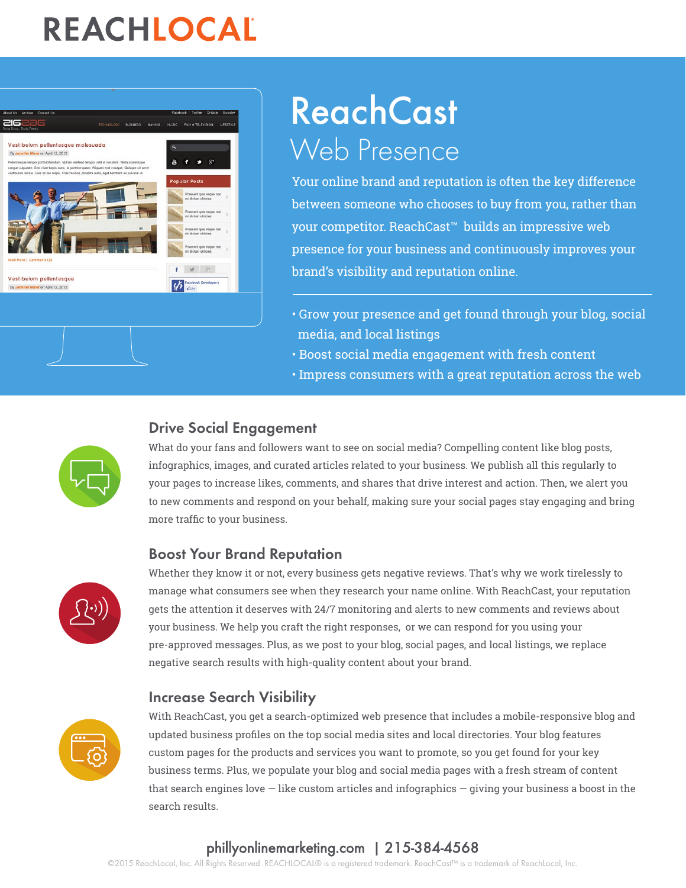# REACHLOCAL



# **ReachCast** Web Presence

Your online brand and reputation is often the key difference between someone who chooses to buy from you, rather than your competitor. ReachCast™ builds an impressive web presence for your business and continuously improves your brand's visibility and reputation online.

- Grow your presence and get found through your blog, social media, and local listings
- Boost social media engagement with fresh content
- Impress consumers with a great reputation across the web

### Drive Social Engagement



What do your fans and followers want to see on social media? Compelling content like blog posts, infographics, images, and curated articles related to your business. We publish all this regularly to your pages to increase likes, comments, and shares that drive interest and action. Then, we alert you to new comments and respond on your behalf, making sure your social pages stay engaging and bring more traffic to your business.

### Boost Your Brand Reputation



Whether they know it or not, every business gets negative reviews. That's why we work tirelessly to manage what consumers see when they research your name online. With ReachCast, your reputation gets the attention it deserves with 24/7 monitoring and alerts to new comments and reviews about your business. We help you craft the right responses, or we can respond for you using your pre-approved messages. Plus, as we post to your blog, social pages, and local listings, we replace negative search results with high-quality content about your brand.

### Increase Search Visibility



With ReachCast, you get a search-optimized web presence that includes a mobile-responsive blog and updated business profiles on the top social media sites and local directories. Your blog features custom pages for the products and services you want to promote, so you get found for your key business terms. Plus, we populate your blog and social media pages with a fresh stream of content that search engines love — like custom articles and infographics — giving your business a boost in the search results.

### [phillyonlinemarketing.com](http://reachlocal.com) | 215-384-4568